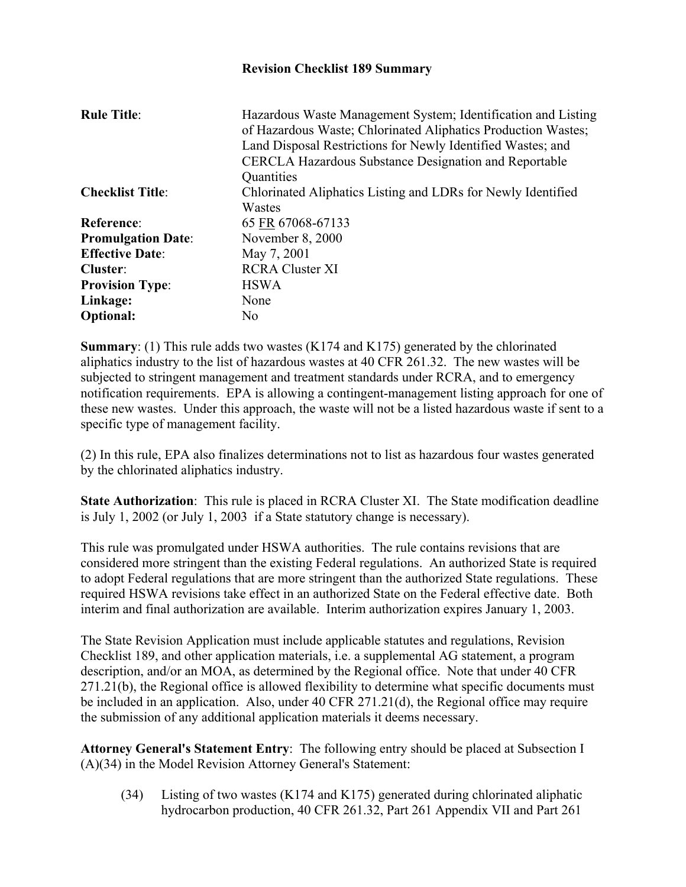## **Revision Checklist 189 Summary**

| <b>Rule Title:</b>        | Hazardous Waste Management System; Identification and Listing<br>of Hazardous Waste; Chlorinated Aliphatics Production Wastes;<br>Land Disposal Restrictions for Newly Identified Wastes; and<br><b>CERCLA Hazardous Substance Designation and Reportable</b><br>Quantities |
|---------------------------|-----------------------------------------------------------------------------------------------------------------------------------------------------------------------------------------------------------------------------------------------------------------------------|
| <b>Checklist Title:</b>   | Chlorinated Aliphatics Listing and LDRs for Newly Identified                                                                                                                                                                                                                |
|                           | Wastes                                                                                                                                                                                                                                                                      |
| Reference:                | 65 FR 67068-67133                                                                                                                                                                                                                                                           |
| <b>Promulgation Date:</b> | November 8, 2000                                                                                                                                                                                                                                                            |
| <b>Effective Date:</b>    | May 7, 2001                                                                                                                                                                                                                                                                 |
| Cluster:                  | <b>RCRA Cluster XI</b>                                                                                                                                                                                                                                                      |
| <b>Provision Type:</b>    | <b>HSWA</b>                                                                                                                                                                                                                                                                 |
| Linkage:                  | None                                                                                                                                                                                                                                                                        |
| <b>Optional:</b>          | N <sub>0</sub>                                                                                                                                                                                                                                                              |

**Summary**: (1) This rule adds two wastes (K174 and K175) generated by the chlorinated aliphatics industry to the list of hazardous wastes at 40 CFR 261.32. The new wastes will be subjected to stringent management and treatment standards under RCRA, and to emergency notification requirements. EPA is allowing a contingent-management listing approach for one of these new wastes. Under this approach, the waste will not be a listed hazardous waste if sent to a specific type of management facility.

(2) In this rule, EPA also finalizes determinations not to list as hazardous four wastes generated by the chlorinated aliphatics industry.

**State Authorization:** This rule is placed in RCRA Cluster XI. The State modification deadline is July 1, 2002 (or July 1, 2003 if a State statutory change is necessary).

This rule was promulgated under HSWA authorities. The rule contains revisions that are considered more stringent than the existing Federal regulations. An authorized State is required to adopt Federal regulations that are more stringent than the authorized State regulations. These required HSWA revisions take effect in an authorized State on the Federal effective date. Both interim and final authorization are available. Interim authorization expires January 1, 2003.

The State Revision Application must include applicable statutes and regulations, Revision Checklist 189, and other application materials, i.e. a supplemental AG statement, a program description, and/or an MOA, as determined by the Regional office. Note that under 40 CFR 271.21(b), the Regional office is allowed flexibility to determine what specific documents must be included in an application. Also, under 40 CFR 271.21(d), the Regional office may require the submission of any additional application materials it deems necessary.

**Attorney General's Statement Entry**: The following entry should be placed at Subsection I (A)(34) in the Model Revision Attorney General's Statement:

(34) Listing of two wastes (K174 and K175) generated during chlorinated aliphatic hydrocarbon production, 40 CFR 261.32, Part 261 Appendix VII and Part 261